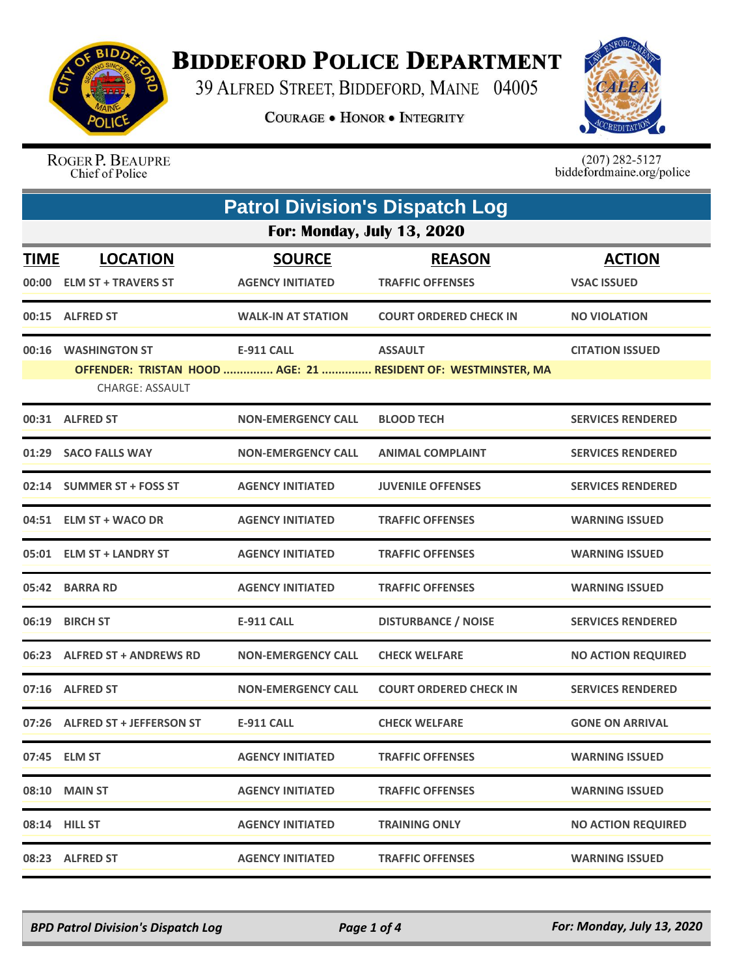

## **BIDDEFORD POLICE DEPARTMENT**

39 ALFRED STREET, BIDDEFORD, MAINE 04005

**COURAGE . HONOR . INTEGRITY** 



ROGER P. BEAUPRE Chief of Police

 $(207)$  282-5127<br>biddefordmaine.org/police

| <b>Patrol Division's Dispatch Log</b> |                                               |                                          |                                                                                 |                                     |  |  |
|---------------------------------------|-----------------------------------------------|------------------------------------------|---------------------------------------------------------------------------------|-------------------------------------|--|--|
|                                       | <b>For: Monday, July 13, 2020</b>             |                                          |                                                                                 |                                     |  |  |
| <b>TIME</b>                           | <b>LOCATION</b><br>00:00 ELM ST + TRAVERS ST  | <b>SOURCE</b><br><b>AGENCY INITIATED</b> | <b>REASON</b><br><b>TRAFFIC OFFENSES</b>                                        | <b>ACTION</b><br><b>VSAC ISSUED</b> |  |  |
|                                       | 00:15 ALFRED ST                               | <b>WALK-IN AT STATION</b>                | <b>COURT ORDERED CHECK IN</b>                                                   | <b>NO VIOLATION</b>                 |  |  |
|                                       | 00:16 WASHINGTON ST<br><b>CHARGE: ASSAULT</b> | <b>E-911 CALL</b>                        | <b>ASSAULT</b><br>OFFENDER: TRISTAN HOOD  AGE: 21  RESIDENT OF: WESTMINSTER, MA | <b>CITATION ISSUED</b>              |  |  |
|                                       | 00:31 ALFRED ST                               | <b>NON-EMERGENCY CALL</b>                | <b>BLOOD TECH</b>                                                               | <b>SERVICES RENDERED</b>            |  |  |
|                                       | 01:29 SACO FALLS WAY                          | <b>NON-EMERGENCY CALL</b>                | <b>ANIMAL COMPLAINT</b>                                                         | <b>SERVICES RENDERED</b>            |  |  |
|                                       | 02:14 SUMMER ST + FOSS ST                     | <b>AGENCY INITIATED</b>                  | <b>JUVENILE OFFENSES</b>                                                        | <b>SERVICES RENDERED</b>            |  |  |
|                                       | 04:51 ELM ST + WACO DR                        | <b>AGENCY INITIATED</b>                  | <b>TRAFFIC OFFENSES</b>                                                         | <b>WARNING ISSUED</b>               |  |  |
|                                       | 05:01 ELM ST + LANDRY ST                      | <b>AGENCY INITIATED</b>                  | <b>TRAFFIC OFFENSES</b>                                                         | <b>WARNING ISSUED</b>               |  |  |
|                                       | 05:42 BARRA RD                                | <b>AGENCY INITIATED</b>                  | <b>TRAFFIC OFFENSES</b>                                                         | <b>WARNING ISSUED</b>               |  |  |
|                                       | 06:19 BIRCH ST                                | <b>E-911 CALL</b>                        | <b>DISTURBANCE / NOISE</b>                                                      | <b>SERVICES RENDERED</b>            |  |  |
|                                       | 06:23 ALFRED ST + ANDREWS RD                  | <b>NON-EMERGENCY CALL</b>                | <b>CHECK WELFARE</b>                                                            | <b>NO ACTION REQUIRED</b>           |  |  |
|                                       | 07:16 ALFRED ST                               | <b>NON-EMERGENCY CALL</b>                | <b>COURT ORDERED CHECK IN</b>                                                   | <b>SERVICES RENDERED</b>            |  |  |
|                                       | 07:26 ALFRED ST + JEFFERSON ST                | <b>E-911 CALL</b>                        | <b>CHECK WELFARE</b>                                                            | <b>GONE ON ARRIVAL</b>              |  |  |
|                                       | 07:45 ELM ST                                  | <b>AGENCY INITIATED</b>                  | <b>TRAFFIC OFFENSES</b>                                                         | <b>WARNING ISSUED</b>               |  |  |
|                                       | 08:10 MAIN ST                                 | <b>AGENCY INITIATED</b>                  | <b>TRAFFIC OFFENSES</b>                                                         | <b>WARNING ISSUED</b>               |  |  |
|                                       | 08:14 HILL ST                                 | <b>AGENCY INITIATED</b>                  | <b>TRAINING ONLY</b>                                                            | <b>NO ACTION REQUIRED</b>           |  |  |
|                                       | 08:23 ALFRED ST                               | <b>AGENCY INITIATED</b>                  | <b>TRAFFIC OFFENSES</b>                                                         | <b>WARNING ISSUED</b>               |  |  |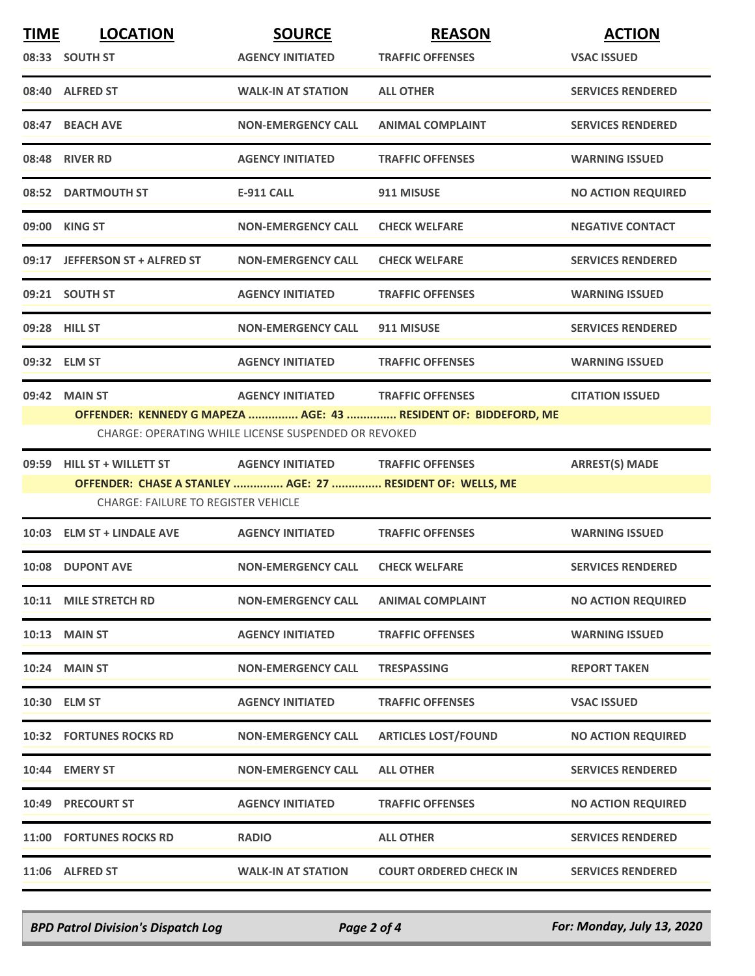| <b>TIME</b> | <b>LOCATION</b>                                                                                          | <b>SOURCE</b>                                        | <b>REASON</b>                                                   | <b>ACTION</b>             |
|-------------|----------------------------------------------------------------------------------------------------------|------------------------------------------------------|-----------------------------------------------------------------|---------------------------|
|             | 08:33 SOUTH ST                                                                                           | <b>AGENCY INITIATED</b>                              | <b>TRAFFIC OFFENSES</b>                                         | <b>VSAC ISSUED</b>        |
|             | 08:40 ALFRED ST                                                                                          | <b>WALK-IN AT STATION</b>                            | <b>ALL OTHER</b>                                                | <b>SERVICES RENDERED</b>  |
|             | 08:47 BEACH AVE                                                                                          | <b>NON-EMERGENCY CALL</b>                            | <b>ANIMAL COMPLAINT</b>                                         | <b>SERVICES RENDERED</b>  |
|             | 08:48 RIVER RD                                                                                           | <b>AGENCY INITIATED</b>                              | <b>TRAFFIC OFFENSES</b>                                         | <b>WARNING ISSUED</b>     |
|             | 08:52 DARTMOUTH ST                                                                                       | <b>E-911 CALL</b>                                    | 911 MISUSE                                                      | <b>NO ACTION REQUIRED</b> |
|             | 09:00 KING ST                                                                                            | <b>NON-EMERGENCY CALL</b>                            | <b>CHECK WELFARE</b>                                            | <b>NEGATIVE CONTACT</b>   |
|             | 09:17 JEFFERSON ST + ALFRED ST                                                                           | <b>NON-EMERGENCY CALL</b>                            | <b>CHECK WELFARE</b>                                            | <b>SERVICES RENDERED</b>  |
|             | 09:21 SOUTH ST                                                                                           | <b>AGENCY INITIATED</b>                              | <b>TRAFFIC OFFENSES</b>                                         | <b>WARNING ISSUED</b>     |
|             | 09:28 HILL ST                                                                                            | <b>NON-EMERGENCY CALL</b>                            | 911 MISUSE                                                      | <b>SERVICES RENDERED</b>  |
|             | 09:32 ELM ST                                                                                             | <b>AGENCY INITIATED</b>                              | <b>TRAFFIC OFFENSES</b>                                         | <b>WARNING ISSUED</b>     |
|             | 09:42 MAIN ST                                                                                            | <b>AGENCY INITIATED</b>                              | <b>TRAFFIC OFFENSES</b>                                         | <b>CITATION ISSUED</b>    |
|             |                                                                                                          | CHARGE: OPERATING WHILE LICENSE SUSPENDED OR REVOKED | OFFENDER: KENNEDY G MAPEZA  AGE: 43  RESIDENT OF: BIDDEFORD, ME |                           |
|             | 09:59 HILL ST + WILLETT ST                                                                               | <b>AGENCY INITIATED</b>                              | <b>TRAFFIC OFFENSES</b>                                         | <b>ARREST(S) MADE</b>     |
|             | OFFENDER: CHASE A STANLEY  AGE: 27  RESIDENT OF: WELLS, ME<br><b>CHARGE: FAILURE TO REGISTER VEHICLE</b> |                                                      |                                                                 |                           |
|             | 10:03 ELM ST + LINDALE AVE                                                                               | <b>AGENCY INITIATED</b>                              | <b>TRAFFIC OFFENSES</b>                                         | <b>WARNING ISSUED</b>     |
|             | 10:08 DUPONT AVE                                                                                         | <b>NON-EMERGENCY CALL</b>                            | <b>CHECK WELFARE</b>                                            | <b>SERVICES RENDERED</b>  |
|             | 10:11 MILE STRETCH RD                                                                                    | <b>NON-EMERGENCY CALL</b>                            | <b>ANIMAL COMPLAINT</b>                                         | <b>NO ACTION REQUIRED</b> |
|             | <b>10:13 MAIN ST</b>                                                                                     | <b>AGENCY INITIATED</b>                              | <b>TRAFFIC OFFENSES</b>                                         | <b>WARNING ISSUED</b>     |
|             | <b>10:24 MAIN ST</b>                                                                                     | <b>NON-EMERGENCY CALL</b>                            | <b>TRESPASSING</b>                                              | <b>REPORT TAKEN</b>       |
|             | 10:30 ELM ST                                                                                             | <b>AGENCY INITIATED</b>                              | <b>TRAFFIC OFFENSES</b>                                         | <b>VSAC ISSUED</b>        |
|             | <b>10:32 FORTUNES ROCKS RD</b>                                                                           | <b>NON-EMERGENCY CALL</b>                            | <b>ARTICLES LOST/FOUND</b>                                      | <b>NO ACTION REQUIRED</b> |
|             | 10:44 EMERY ST                                                                                           | <b>NON-EMERGENCY CALL</b>                            | <b>ALL OTHER</b>                                                | <b>SERVICES RENDERED</b>  |
|             | 10:49 PRECOURT ST                                                                                        | <b>AGENCY INITIATED</b>                              | <b>TRAFFIC OFFENSES</b>                                         | <b>NO ACTION REQUIRED</b> |
|             | 11:00 FORTUNES ROCKS RD                                                                                  | <b>RADIO</b>                                         | <b>ALL OTHER</b>                                                | <b>SERVICES RENDERED</b>  |
|             | 11:06 ALFRED ST                                                                                          | <b>WALK-IN AT STATION</b>                            | <b>COURT ORDERED CHECK IN</b>                                   | <b>SERVICES RENDERED</b>  |
|             |                                                                                                          |                                                      |                                                                 |                           |

*BPD Patrol Division's Dispatch Log Page 2 of 4 For: Monday, July 13, 2020*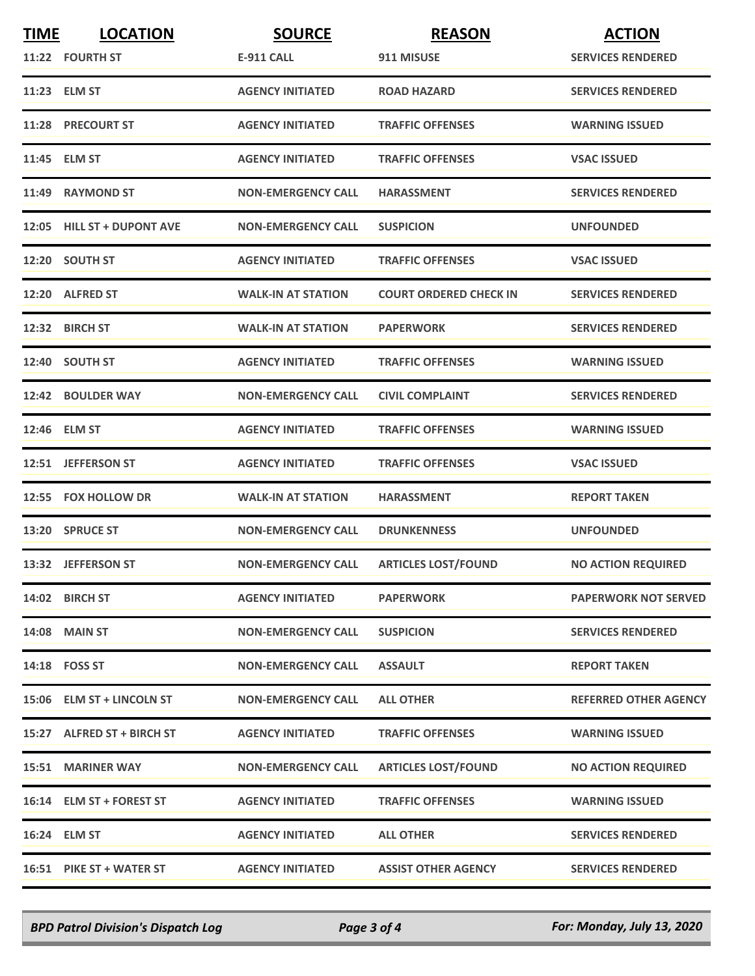| <b>TIME</b> | <b>LOCATION</b>            | <b>SOURCE</b>             | <b>REASON</b>                 | <b>ACTION</b>                |
|-------------|----------------------------|---------------------------|-------------------------------|------------------------------|
|             | 11:22 FOURTH ST            | <b>E-911 CALL</b>         | 911 MISUSE                    | <b>SERVICES RENDERED</b>     |
|             | 11:23 ELM ST               | <b>AGENCY INITIATED</b>   | <b>ROAD HAZARD</b>            | <b>SERVICES RENDERED</b>     |
|             | 11:28 PRECOURT ST          | <b>AGENCY INITIATED</b>   | <b>TRAFFIC OFFENSES</b>       | <b>WARNING ISSUED</b>        |
|             | 11:45 ELM ST               | <b>AGENCY INITIATED</b>   | <b>TRAFFIC OFFENSES</b>       | <b>VSAC ISSUED</b>           |
|             | 11:49 RAYMOND ST           | <b>NON-EMERGENCY CALL</b> | <b>HARASSMENT</b>             | <b>SERVICES RENDERED</b>     |
|             | 12:05 HILL ST + DUPONT AVE | <b>NON-EMERGENCY CALL</b> | <b>SUSPICION</b>              | <b>UNFOUNDED</b>             |
|             | 12:20 SOUTH ST             | <b>AGENCY INITIATED</b>   | <b>TRAFFIC OFFENSES</b>       | <b>VSAC ISSUED</b>           |
|             | 12:20 ALFRED ST            | <b>WALK-IN AT STATION</b> | <b>COURT ORDERED CHECK IN</b> | <b>SERVICES RENDERED</b>     |
|             | 12:32 BIRCH ST             | <b>WALK-IN AT STATION</b> | <b>PAPERWORK</b>              | <b>SERVICES RENDERED</b>     |
|             | 12:40 SOUTH ST             | <b>AGENCY INITIATED</b>   | <b>TRAFFIC OFFENSES</b>       | <b>WARNING ISSUED</b>        |
|             | 12:42 BOULDER WAY          | <b>NON-EMERGENCY CALL</b> | <b>CIVIL COMPLAINT</b>        | <b>SERVICES RENDERED</b>     |
|             | 12:46 ELM ST               | <b>AGENCY INITIATED</b>   | <b>TRAFFIC OFFENSES</b>       | <b>WARNING ISSUED</b>        |
|             | 12:51 JEFFERSON ST         | <b>AGENCY INITIATED</b>   | <b>TRAFFIC OFFENSES</b>       | <b>VSAC ISSUED</b>           |
|             | 12:55 FOX HOLLOW DR        | <b>WALK-IN AT STATION</b> | <b>HARASSMENT</b>             | <b>REPORT TAKEN</b>          |
|             | 13:20 SPRUCE ST            | <b>NON-EMERGENCY CALL</b> | <b>DRUNKENNESS</b>            | <b>UNFOUNDED</b>             |
|             | 13:32 JEFFERSON ST         | <b>NON-EMERGENCY CALL</b> | <b>ARTICLES LOST/FOUND</b>    | <b>NO ACTION REQUIRED</b>    |
|             | 14:02 BIRCH ST             | <b>AGENCY INITIATED</b>   | <b>PAPERWORK</b>              | <b>PAPERWORK NOT SERVED</b>  |
|             | <b>14:08 MAIN ST</b>       | <b>NON-EMERGENCY CALL</b> | <b>SUSPICION</b>              | <b>SERVICES RENDERED</b>     |
|             | 14:18 FOSS ST              | <b>NON-EMERGENCY CALL</b> | <b>ASSAULT</b>                | <b>REPORT TAKEN</b>          |
|             | 15:06 ELM ST + LINCOLN ST  | <b>NON-EMERGENCY CALL</b> | <b>ALL OTHER</b>              | <b>REFERRED OTHER AGENCY</b> |
|             | 15:27 ALFRED ST + BIRCH ST | <b>AGENCY INITIATED</b>   | <b>TRAFFIC OFFENSES</b>       | <b>WARNING ISSUED</b>        |
|             | <b>15:51 MARINER WAY</b>   | <b>NON-EMERGENCY CALL</b> | <b>ARTICLES LOST/FOUND</b>    | <b>NO ACTION REQUIRED</b>    |
|             | 16:14 ELM ST + FOREST ST   | <b>AGENCY INITIATED</b>   | <b>TRAFFIC OFFENSES</b>       | <b>WARNING ISSUED</b>        |
|             | 16:24 ELM ST               | <b>AGENCY INITIATED</b>   | <b>ALL OTHER</b>              | <b>SERVICES RENDERED</b>     |
|             | 16:51 PIKE ST + WATER ST   | <b>AGENCY INITIATED</b>   | <b>ASSIST OTHER AGENCY</b>    | <b>SERVICES RENDERED</b>     |

*BPD Patrol Division's Dispatch Log Page 3 of 4 For: Monday, July 13, 2020*